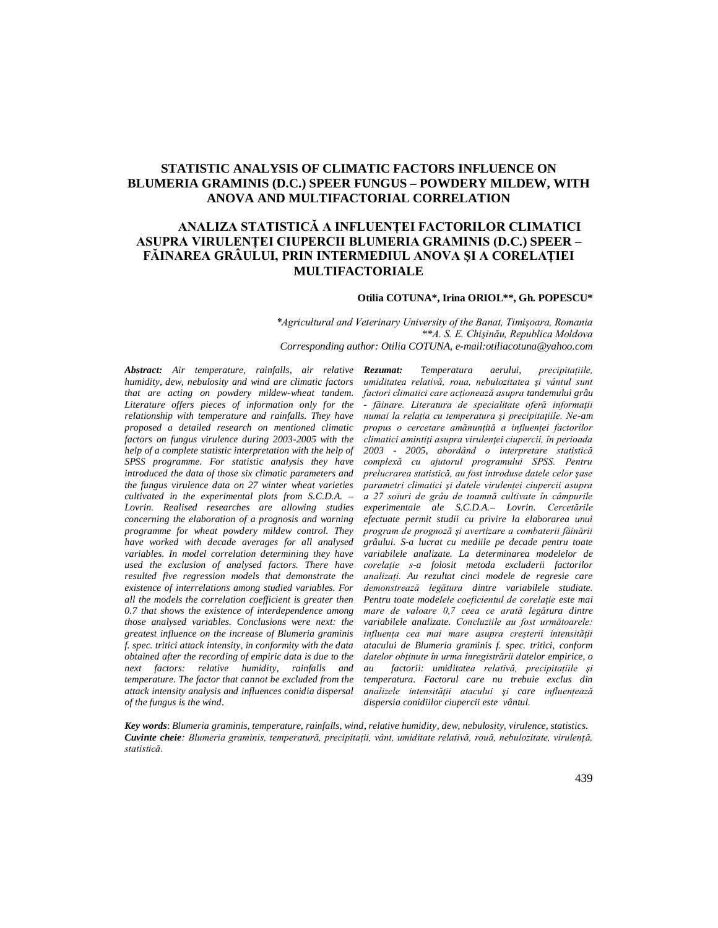# **STATISTIC ANALYSIS OF CLIMATIC FACTORS INFLUENCE ON BLUMERIA GRAMINIS (D.C.) SPEER FUNGUS – POWDERY MILDEW, WITH ANOVA AND MULTIFACTORIAL CORRELATION**

# **ANALIZA STATISTICĂ A INFLUENŢEI FACTORILOR CLIMATICI ASUPRA VIRULENŢEI CIUPERCII BLUMERIA GRAMINIS (D.C.) SPEER – FĂINAREA GRÂULUI, PRIN INTERMEDIUL ANOVA ŞI A CORELAŢIEI MULTIFACTORIALE**

### **Otilia COTUNA\*, Irina ORIOL\*\*, Gh. POPESCU\***

*\*Agricultural and Veterinary University of the Banat, Timişoara, Romania \*\*A. S. E. Chişinău, Republica Moldova Corresponding author: Otilia COTUNA, e-mail:otiliacotuna@yahoo.com*

*Abstract: Air temperature, rainfalls, air relative humidity, dew, nebulosity and wind are climatic factors that are acting on powdery mildew-wheat tandem. Literature offers pieces of information only for the relationship with temperature and rainfalls. They have proposed a detailed research on mentioned climatic factors on fungus virulence during 2003-2005 with the help of a complete statistic interpretation with the help of SPSS programme. For statistic analysis they have introduced the data of those six climatic parameters and the fungus virulence data on 27 winter wheat varieties cultivated in the experimental plots from S.C.D.A. – Lovrin. Realised researches are allowing studies concerning the elaboration of a prognosis and warning programme for wheat powdery mildew control. They have worked with decade averages for all analysed variables. In model correlation determining they have used the exclusion of analysed factors. There have resulted five regression models that demonstrate the existence of interrelations among studied variables. For all the models the correlation coefficient is greater then 0.7 that shows the existence of interdependence among those analysed variables. Conclusions were next: the greatest influence on the increase of Blumeria graminis f. spec. tritici attack intensity, in conformity with the data obtained after the recording of empiric data is due to the next factors: relative humidity, rainfalls and temperature. The factor that cannot be excluded from the attack intensity analysis and influences conidia dispersal of the fungus is the wind.*

*Rezumat: Temperatura aerului, precipitaţiile, umiditatea relativă, roua, nebulozitatea şi vântul sunt factori climatici care acţionează asupra tandemului grâu - făinare. Literatura de specialitate oferă informaţii numai la relaţia cu temperatura şi precipitaţiile. Ne-am propus o cercetare amănunţită a influenţei factorilor climatici amintiţi asupra virulenţei ciupercii, în perioada 2003 - 2005, abordând o interpretare statistică complexă cu ajutorul programului SPSS. Pentru prelucrarea statistică, au fost introduse datele celor şase parametri climatici şi datele virulenţei ciupercii asupra a 27 soiuri de grâu de toamnă cultivate în câmpurile experimentale ale S.C.D.A.– Lovrin. Cercetările efectuate permit studii cu privire la elaborarea unui program de prognoză şi avertizare a combaterii făinării grâului. S-a lucrat cu mediile pe decade pentru toate variabilele analizate. La determinarea modelelor de corelaţie s-a folosit metoda excluderii factorilor analizaţi. Au rezultat cinci modele de regresie care demonstrează legătura dintre variabilele studiate. Pentru toate modelele coeficientul de corelaţie este mai mare de valoare 0,7 ceea ce arată legătura dintre variabilele analizate. Concluziile au fost următoarele: influenţa cea mai mare asupra creşterii intensităţii atacului de Blumeria graminis f. spec. tritici, conform datelor obţinute în urma înregistrării datelor empirice, o au factorii: umiditatea relativă, precipitaţiile şi temperatura. Factorul care nu trebuie exclus din analizele intensităţii atacului şi care influenţează dispersia conidiilor ciupercii este vântul.*

*Key words*: *Blumeria graminis, temperature, rainfalls, wind, relative humidity, dew, nebulosity, virulence, statistics. Cuvinte cheie: Blumeria graminis, temperatură, precipitaţii, vânt, umiditate relativă, rouă, nebulozitate, virulenţă, statistică.*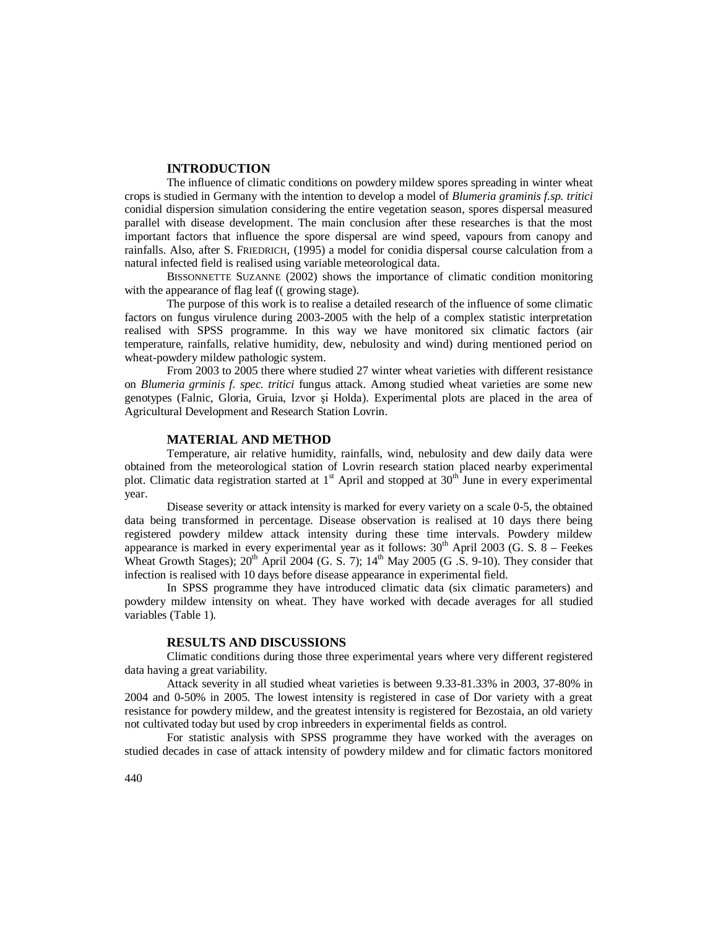## **INTRODUCTION**

The influence of climatic conditions on powdery mildew spores spreading in winter wheat crops is studied in Germany with the intention to develop a model of *Blumeria graminis f.sp. tritici* conidial dispersion simulation considering the entire vegetation season, spores dispersal measured parallel with disease development. The main conclusion after these researches is that the most important factors that influence the spore dispersal are wind speed, vapours from canopy and rainfalls. Also, after S. FRIEDRICH, (1995) a model for conidia dispersal course calculation from a natural infected field is realised using variable meteorological data.

BISSONNETTE SUZANNE (2002) shows the importance of climatic condition monitoring with the appearance of flag leaf ((growing stage).

The purpose of this work is to realise a detailed research of the influence of some climatic factors on fungus virulence during 2003-2005 with the help of a complex statistic interpretation realised with SPSS programme. In this way we have monitored six climatic factors (air temperature, rainfalls, relative humidity, dew, nebulosity and wind) during mentioned period on wheat-powdery mildew pathologic system.

From 2003 to 2005 there where studied 27 winter wheat varieties with different resistance on *Blumeria grminis f. spec. tritici* fungus attack. Among studied wheat varieties are some new genotypes (Falnic, Gloria, Gruia, Izvor şi Holda). Experimental plots are placed in the area of Agricultural Development and Research Station Lovrin.

### **MATERIAL AND METHOD**

Temperature, air relative humidity, rainfalls, wind, nebulosity and dew daily data were obtained from the meteorological station of Lovrin research station placed nearby experimental plot. Climatic data registration started at  $1<sup>st</sup>$  April and stopped at  $30<sup>th</sup>$  June in every experimental year.

Disease severity or attack intensity is marked for every variety on a scale 0-5, the obtained data being transformed in percentage. Disease observation is realised at 10 days there being registered powdery mildew attack intensity during these time intervals. Powdery mildew appearance is marked in every experimental year as it follows:  $30<sup>th</sup>$  April 2003 (G. S.  $8$  – Feekes Wheat Growth Stages);  $20<sup>th</sup>$  April 2004 (G. S. 7);  $14<sup>th</sup>$  May 2005 (G .S. 9-10). They consider that infection is realised with 10 days before disease appearance in experimental field.

In SPSS programme they have introduced climatic data (six climatic parameters) and powdery mildew intensity on wheat. They have worked with decade averages for all studied variables (Table 1).

#### **RESULTS AND DISCUSSIONS**

Climatic conditions during those three experimental years where very different registered data having a great variability.

Attack severity in all studied wheat varieties is between 9.33-81.33% in 2003, 37-80% in 2004 and 0-50% in 2005. The lowest intensity is registered in case of Dor variety with a great resistance for powdery mildew, and the greatest intensity is registered for Bezostaia, an old variety not cultivated today but used by crop inbreeders in experimental fields as control.

For statistic analysis with SPSS programme they have worked with the averages on studied decades in case of attack intensity of powdery mildew and for climatic factors monitored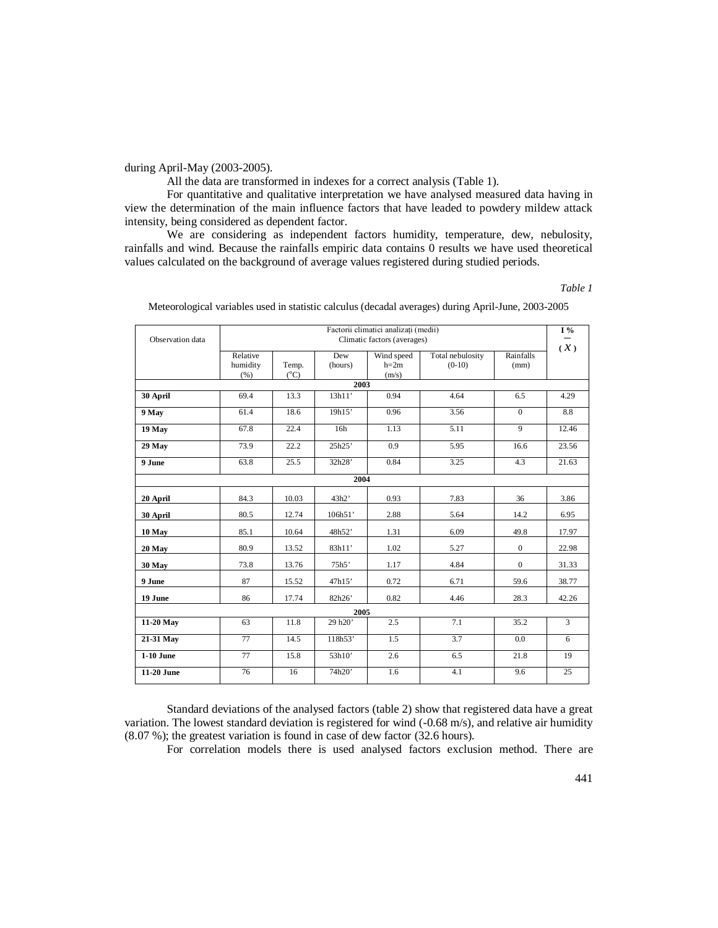# during April-May (2003-2005).

All the data are transformed in indexes for a correct analysis (Table 1).

For quantitative and qualitative interpretation we have analysed measured data having in view the determination of the main influence factors that have leaded to powdery mildew attack intensity, being considered as dependent factor.

We are considering as independent factors humidity, temperature, dew, nebulosity, rainfalls and wind. Because the rainfalls empiric data contains 0 results we have used theoretical values calculated on the background of average values registered during studied periods.

*Table 1*

| Observation data  | Factorii climatici analizati (medii)<br>Climatic factors (averages) |                        |                |                               |                              |                   | $I\%$<br>$(\mathcal{X})$ |  |  |  |
|-------------------|---------------------------------------------------------------------|------------------------|----------------|-------------------------------|------------------------------|-------------------|--------------------------|--|--|--|
|                   | Relative<br>humidity<br>(% )                                        | Temp.<br>$(^{\circ}C)$ | Dew<br>(hours) | Wind speed<br>$h=2m$<br>(m/s) | Total nebulosity<br>$(0-10)$ | Rainfalls<br>(mm) |                          |  |  |  |
| 2003              |                                                                     |                        |                |                               |                              |                   |                          |  |  |  |
| 30 April          | 69.4                                                                | 13.3                   | 13h11'         | 0.94                          | 4.64                         | 6.5               | 4.29                     |  |  |  |
| 9 May             | 61.4                                                                | 18.6                   | 19h15'         | 0.96                          | 3.56                         | $\overline{0}$    | 8.8                      |  |  |  |
| 19 May            | 67.8                                                                | 22.4                   | 16h            | 1.13                          | 5.11                         | $\overline{9}$    | 12.46                    |  |  |  |
| 29 May            | 73.9                                                                | 22.2                   | 25h25'         | 0.9                           | 5.95                         | 16.6              | 23.56                    |  |  |  |
| 9 June            | 63.8                                                                | 25.5                   | 32h28'         | 0.84                          | 3.25                         | 4.3               | 21.63                    |  |  |  |
|                   |                                                                     |                        | 2004           |                               |                              |                   |                          |  |  |  |
| 20 April          | 84.3                                                                | 10.03                  | 43h2'          | 0.93                          | 7.83                         | 36                | 3.86                     |  |  |  |
| 30 April          | 80.5                                                                | 12.74                  | 106h51'        | 2.88                          | 5.64                         | 14.2              | 6.95                     |  |  |  |
| 10 May            | 85.1                                                                | 10.64                  | 48h52'         | 1.31                          | 6.09                         | 49.8              | 17.97                    |  |  |  |
| 20 May            | 80.9                                                                | 13.52                  | 83h11'         | 1.02                          | 5.27                         | $\overline{0}$    | 22.98                    |  |  |  |
| 30 May            | 73.8                                                                | 13.76                  | 75h5           | 1.17                          | 4.84                         | $\mathbf{0}$      | 31.33                    |  |  |  |
| 9 June            | 87                                                                  | 15.52                  | 47h15'         | 0.72                          | 6.71                         | 59.6              | 38.77                    |  |  |  |
| 19 June           | 86                                                                  | 17.74                  | 82h26'         | 0.82                          | 4.46                         | 28.3              | 42.26                    |  |  |  |
| 2005              |                                                                     |                        |                |                               |                              |                   |                          |  |  |  |
| 11-20 May         | 63                                                                  | 11.8                   | 29 h20'        | 2.5                           | 7.1                          | 35.2              | $\overline{3}$           |  |  |  |
| 21-31 May         | 77                                                                  | 14.5                   | 118h53'        | 1.5                           | 3.7                          | $0.0\,$           | 6                        |  |  |  |
| <b>1-10 June</b>  | 77                                                                  | 15.8                   | 53h10'         | 2.6                           | 6.5                          | 21.8              | 19                       |  |  |  |
| <b>11-20 June</b> | 76                                                                  | 16                     | 74h20'         | 1.6                           | 4.1                          | 9.6               | 25                       |  |  |  |

Meteorological variables used in statistic calculus (decadal averages) during April-June, 2003-2005

Standard deviations of the analysed factors (table 2) show that registered data have a great variation. The lowest standard deviation is registered for wind (-0.68 m/s), and relative air humidity (8.07 %); the greatest variation is found in case of dew factor (32.6 hours).

For correlation models there is used analysed factors exclusion method. There are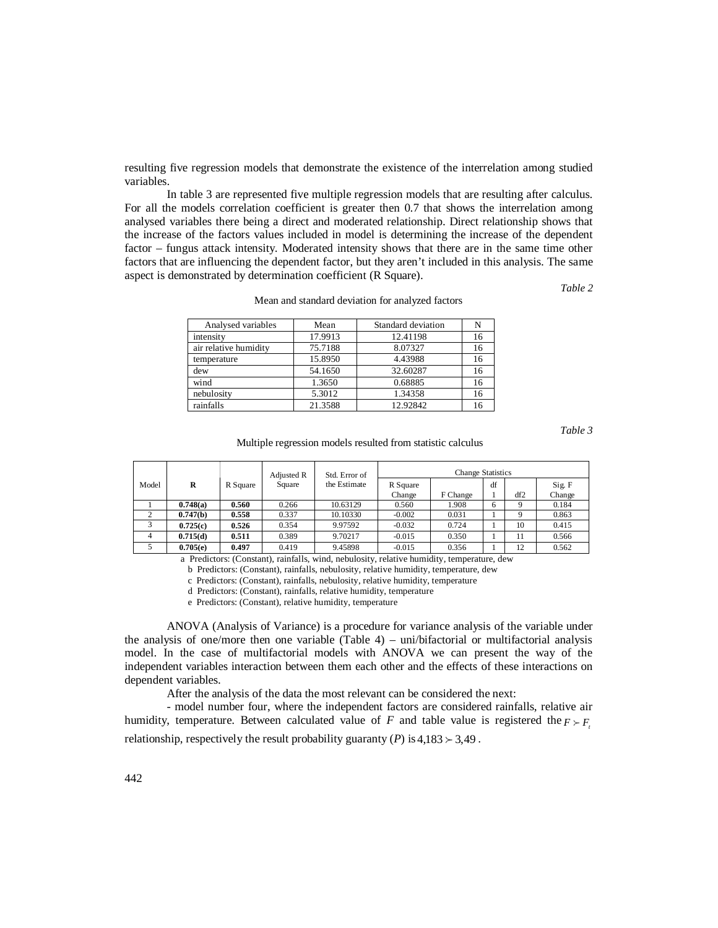resulting five regression models that demonstrate the existence of the interrelation among studied variables.

In table 3 are represented five multiple regression models that are resulting after calculus. For all the models correlation coefficient is greater then 0.7 that shows the interrelation among analysed variables there being a direct and moderated relationship. Direct relationship shows that the increase of the factors values included in model is determining the increase of the dependent factor – fungus attack intensity. Moderated intensity shows that there are in the same time other factors that are influencing the dependent factor, but they aren't included in this analysis. The same aspect is demonstrated by determination coefficient (R Square).

*Table 2*

| Analysed variables    | Mean    | Standard deviation | N  |
|-----------------------|---------|--------------------|----|
| intensity             | 17.9913 | 12.41198           | 16 |
| air relative humidity | 75.7188 | 8.07327            | 16 |
| temperature           | 15.8950 | 4.43988            | 16 |
| dew                   | 54.1650 | 32.60287           | 16 |
| wind                  | 1.3650  | 0.68885            | 16 |
| nebulosity            | 5.3012  | 1.34358            | 16 |
| rainfalls             | 21.3588 | 12.92842           | 16 |

Mean and standard deviation for analyzed factors

*Table 3*

Multiple regression models resulted from statistic calculus

|            |          |        | Adjusted R   | Std. Error of      | <b>Change Statistics</b> |       |     |                  |       |
|------------|----------|--------|--------------|--------------------|--------------------------|-------|-----|------------------|-------|
| Model<br>R | R Square | Square | the Estimate | R Square<br>Change | F Change                 | df    | df2 | Sig. F<br>Change |       |
|            | 0.748(a) | 0.560  | 0.266        | 10.63129           | 0.560                    | 1.908 | 6   |                  | 0.184 |
|            | 0.747(b) | 0.558  | 0.337        | 10.10330           | $-0.002$                 | 0.031 |     |                  | 0.863 |
| 3          | 0.725(c) | 0.526  | 0.354        | 9.97592            | $-0.032$                 | 0.724 |     | 10               | 0.415 |
|            | 0.715(d) | 0.511  | 0.389        | 9.70217            | $-0.015$                 | 0.350 |     | 11               | 0.566 |
|            | 0.705(e) | 0.497  | 0.419        | 9.45898            | $-0.015$                 | 0.356 |     | 12               | 0.562 |

a Predictors: (Constant), rainfalls, wind, nebulosity, relative humidity, temperature, dew

b Predictors: (Constant), rainfalls, nebulosity, relative humidity, temperature, dew

c Predictors: (Constant), rainfalls, nebulosity, relative humidity, temperature

d Predictors: (Constant), rainfalls, relative humidity, temperature

e Predictors: (Constant), relative humidity, temperature

ANOVA (Analysis of Variance) is a procedure for variance analysis of the variable under the analysis of one/more then one variable  $(Table 4)$  – uni/bifactorial or multifactorial analysis model. In the case of multifactorial models with ANOVA we can present the way of the independent variables interaction between them each other and the effects of these interactions on dependent variables.

After the analysis of the data the most relevant can be considered the next:

- model number four, where the independent factors are considered rainfalls, relative air humidity, temperature. Between calculated value of *F* and table value is registered the  $F \succ F$ . relationship, respectively the result probability guaranty (*P*) is  $4.183 \succ 3.49$ .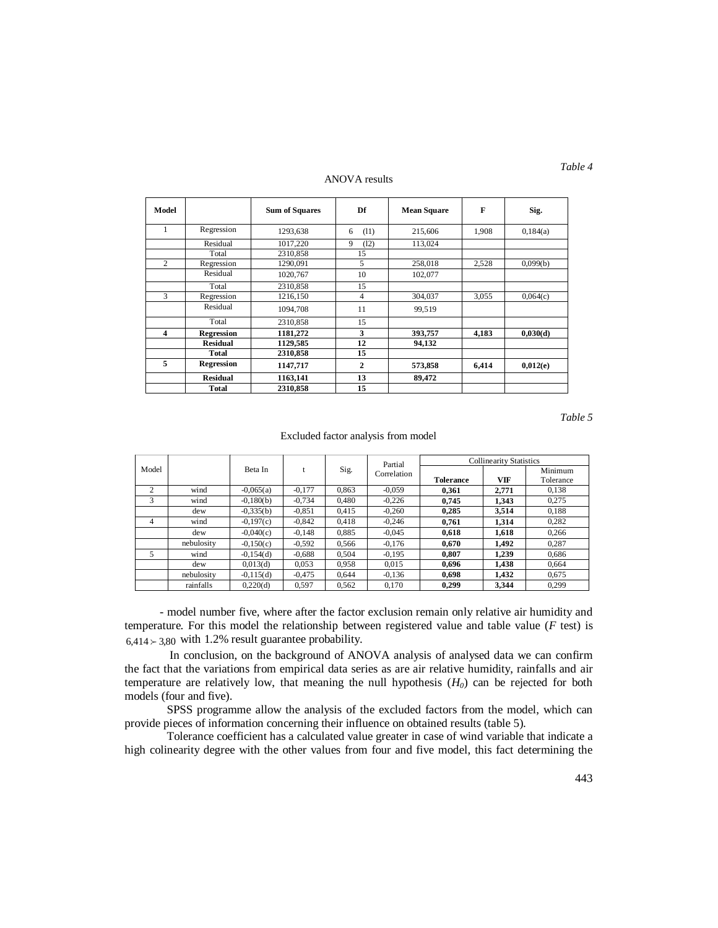#### ANOVA results

| Model          |                   | <b>Sum of Squares</b> | Df             | <b>Mean Square</b> | F     | Sig.     |
|----------------|-------------------|-----------------------|----------------|--------------------|-------|----------|
| 1              | Regression        | 1293,638              | (11)<br>6      | 215,606            | 1.908 | 0,184(a) |
|                | Residual          | 1017,220              | 9<br>(12)      | 113,024            |       |          |
|                | Total             | 2310,858              | 15             |                    |       |          |
| $\overline{c}$ | Regression        | 1290,091              | 5              | 258,018            | 2,528 | 0.099(b) |
|                | Residual          | 1020,767              | 10             | 102,077            |       |          |
|                | Total             | 2310.858              | 15             |                    |       |          |
| 3              | Regression        | 1216,150              | $\overline{4}$ | 304,037            | 3.055 | 0,064(c) |
|                | Residual          | 1094,708              | 11             | 99,519             |       |          |
|                | Total             | 2310,858              | 15             |                    |       |          |
| 4              | <b>Regression</b> | 1181,272              | 3              | 393,757            | 4,183 | 0,030(d) |
|                | <b>Residual</b>   | 1129.585              | 12             | 94,132             |       |          |
|                | Total             | 2310,858              | 15             |                    |       |          |
| 5              | <b>Regression</b> | 1147,717              | $\overline{2}$ | 573,858            | 6,414 | 0,012(e) |
|                | <b>Residual</b>   | 1163,141              | 13             | 89,472             |       |          |
|                | Total             | 2310,858              | 15             |                    |       |          |

*Table 5*

#### Excluded factor analysis from model

|       |            |             |          |       | Partial     | <b>Collinearity Statistics</b> |            |           |  |
|-------|------------|-------------|----------|-------|-------------|--------------------------------|------------|-----------|--|
| Model |            | Beta In     |          | Sig.  | Correlation |                                |            | Minimum   |  |
|       |            |             |          |       |             | <b>Tolerance</b>               | <b>VIF</b> | Tolerance |  |
| 2     | wind       | $-0,065(a)$ | $-0.177$ | 0.863 | $-0.059$    | 0.361                          | 2.771      | 0,138     |  |
| 3     | wind       | $-0.180(b)$ | $-0.734$ | 0.480 | $-0.226$    | 0.745                          | 1.343      | 0.275     |  |
|       | dew        | $-0,335(b)$ | $-0.851$ | 0.415 | $-0.260$    | 0.285                          | 3.514      | 0.188     |  |
| 4     | wind       | $-0,197(c)$ | $-0.842$ | 0.418 | $-0.246$    | 0.761                          | 1.314      | 0.282     |  |
|       | dew        | $-0,040(c)$ | $-0.148$ | 0.885 | $-0.045$    | 0.618                          | 1,618      | 0.266     |  |
|       | nebulosity | $-0,150(c)$ | $-0.592$ | 0.566 | $-0.176$    | 0.670                          | 1.492      | 0.287     |  |
| 5     | wind       | $-0.154(d)$ | $-0.688$ | 0.504 | $-0.195$    | 0.807                          | 1.239      | 0.686     |  |
|       | dew        | 0,013(d)    | 0.053    | 0.958 | 0.015       | 0.696                          | 1.438      | 0.664     |  |
|       | nebulosity | $-0.115(d)$ | $-0.475$ | 0.644 | $-0.136$    | 0.698                          | 1,432      | 0.675     |  |
|       | rainfalls  | 0.220(d)    | 0.597    | 0.562 | 0.170       | 0.299                          | 3.344      | 0.299     |  |

 - model number five, where after the factor exclusion remain only relative air humidity and temperature. For this model the relationship between registered value and table value (*F* test) is  $6.414 \succ 3.80$  with 1.2% result guarantee probability.

In conclusion, on the background of ANOVA analysis of analysed data we can confirm the fact that the variations from empirical data series as are air relative humidity, rainfalls and air temperature are relatively low, that meaning the null hypothesis (*H0*) can be rejected for both models (four and five).

SPSS programme allow the analysis of the excluded factors from the model, which can provide pieces of information concerning their influence on obtained results (table 5).

Tolerance coefficient has a calculated value greater in case of wind variable that indicate a high colinearity degree with the other values from four and five model, this fact determining the